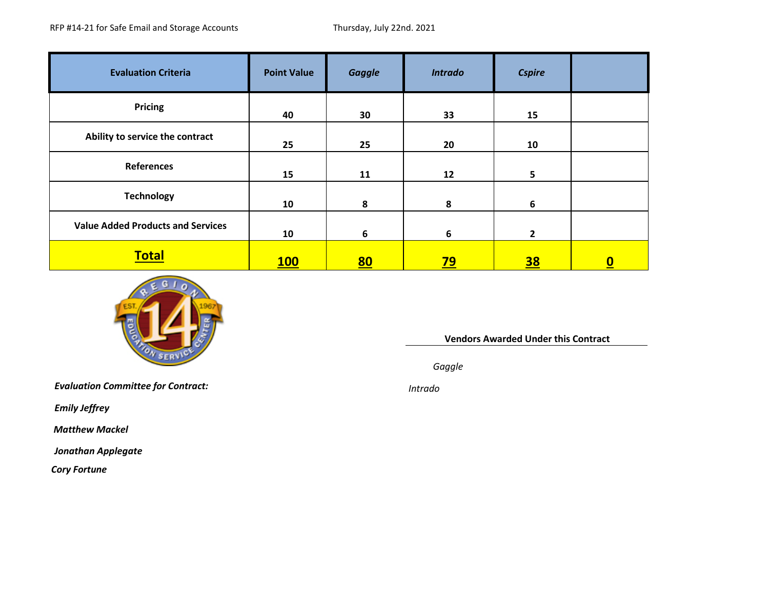| <b>Evaluation Criteria</b>               | <b>Point Value</b> | <b>Gaggle</b> | <b>Intrado</b> | <b>Cspire</b>  |                  |
|------------------------------------------|--------------------|---------------|----------------|----------------|------------------|
| <b>Pricing</b>                           | 40                 | 30            | 33             | 15             |                  |
| Ability to service the contract          | 25                 | 25            | 20             | 10             |                  |
| References                               | 15                 | 11            | 12             | 5              |                  |
| <b>Technology</b>                        | 10                 | 8             | 8              | 6              |                  |
| <b>Value Added Products and Services</b> | 10                 | 6             | 6              | $\overline{2}$ |                  |
| <b>Total</b>                             | <b>100</b>         | <u>80</u>     | <u>79</u>      | <u>38</u>      | $\boldsymbol{0}$ |



**Vendors Awarded Under this Contract**

*Gaggle*

*Evaluation Committee for Contract: Intrado*

*Emily Jeffrey*

*Matthew Mackel*

*Jonathan Applegate*

*Cory Fortune*

Intrado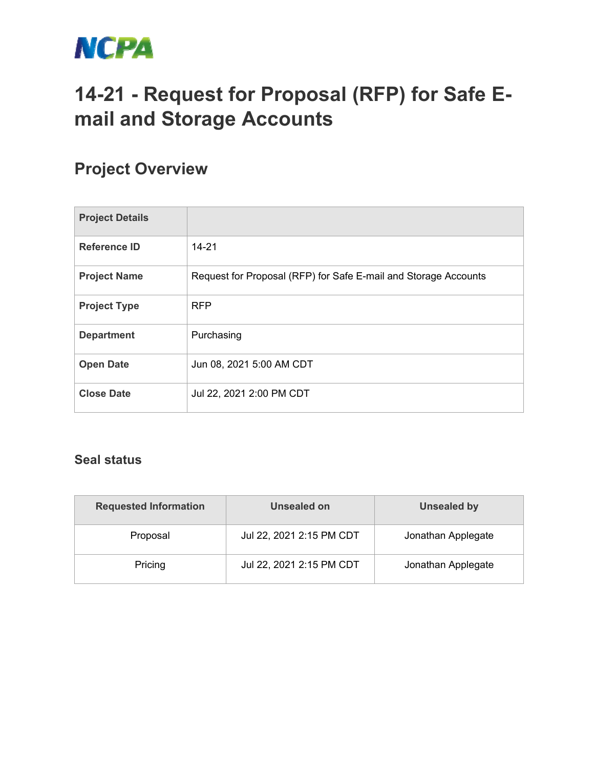

## **14-21 - Request for Proposal (RFP) for Safe Email and Storage Accounts**

## **Project Overview**

| <b>Project Details</b> |                                                                 |
|------------------------|-----------------------------------------------------------------|
| <b>Reference ID</b>    | $14 - 21$                                                       |
| <b>Project Name</b>    | Request for Proposal (RFP) for Safe E-mail and Storage Accounts |
| <b>Project Type</b>    | <b>RFP</b>                                                      |
| <b>Department</b>      | Purchasing                                                      |
| <b>Open Date</b>       | Jun 08, 2021 5:00 AM CDT                                        |
| <b>Close Date</b>      | Jul 22, 2021 2:00 PM CDT                                        |

## **Seal status**

| <b>Requested Information</b> | Unsealed on              | <b>Unsealed by</b> |
|------------------------------|--------------------------|--------------------|
| Proposal                     | Jul 22, 2021 2:15 PM CDT | Jonathan Applegate |
| Pricing                      | Jul 22, 2021 2:15 PM CDT | Jonathan Applegate |